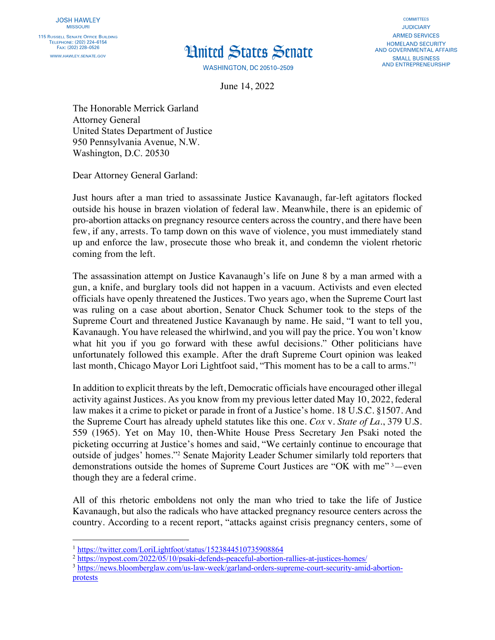## **Hnited States Senate**

**WASHINGTON, DC 20510-2509** 

**COMMITTEES JUDICIARY ARMED SERVICES HOMELAND SECURITY** AND GOVERNMENTAL AFFAIRS **SMALL BUSINESS AND ENTREPRENEURSHIP** 

June 14, 2022

The Honorable Merrick Garland Attorney General United States Department of Justice 950 Pennsylvania Avenue, N.W. Washington, D.C. 20530

Dear Attorney General Garland:

Just hours after a man tried to assassinate Justice Kavanaugh, far-left agitators flocked outside his house in brazen violation of federal law. Meanwhile, there is an epidemic of pro-abortion attacks on pregnancy resource centers across the country, and there have been few, if any, arrests. To tamp down on this wave of violence, you must immediately stand up and enforce the law, prosecute those who break it, and condemn the violent rhetoric coming from the left.

The assassination attempt on Justice Kavanaugh's life on June 8 by a man armed with a gun, a knife, and burglary tools did not happen in a vacuum. Activists and even elected officials have openly threatened the Justices. Two years ago, when the Supreme Court last was ruling on a case about abortion, Senator Chuck Schumer took to the steps of the Supreme Court and threatened Justice Kavanaugh by name. He said, "I want to tell you, Kavanaugh. You have released the whirlwind, and you will pay the price. You won't know what hit you if you go forward with these awful decisions." Other politicians have unfortunately followed this example. After the draft Supreme Court opinion was leaked last month, Chicago Mayor Lori Lightfoot said, "This moment has to be a call to arms."<sup>1</sup>

In addition to explicit threats by the left, Democratic officials have encouraged other illegal activity against Justices. As you know from my previous letter dated May 10, 2022, federal law makes it a crime to picket or parade in front of a Justice's home. 18 U.S.C. §1507. And the Supreme Court has already upheld statutes like this one. *Cox* v*. State of La.*, 379 U.S. 559 (1965). Yet on May 10, then-White House Press Secretary Jen Psaki noted the picketing occurring at Justice's homes and said, "We certainly continue to encourage that outside of judges' homes."2 Senate Majority Leader Schumer similarly told reporters that demonstrations outside the homes of Supreme Court Justices are "OK with me"<sup>3</sup>-even though they are a federal crime.

All of this rhetoric emboldens not only the man who tried to take the life of Justice Kavanaugh, but also the radicals who have attacked pregnancy resource centers across the country. According to a recent report, "attacks against crisis pregnancy centers, some of

- <sup>2</sup> https://nypost.com/2022/05/10/psaki-defends-peaceful-abortion-rallies-at-justices-homes/
- <sup>3</sup> https://news.bloomberglaw.com/us-law-week/garland-orders-supreme-court-security-amid-abortionprotests

<sup>1</sup> https://twitter.com/LoriLightfoot/status/1523844510735908864